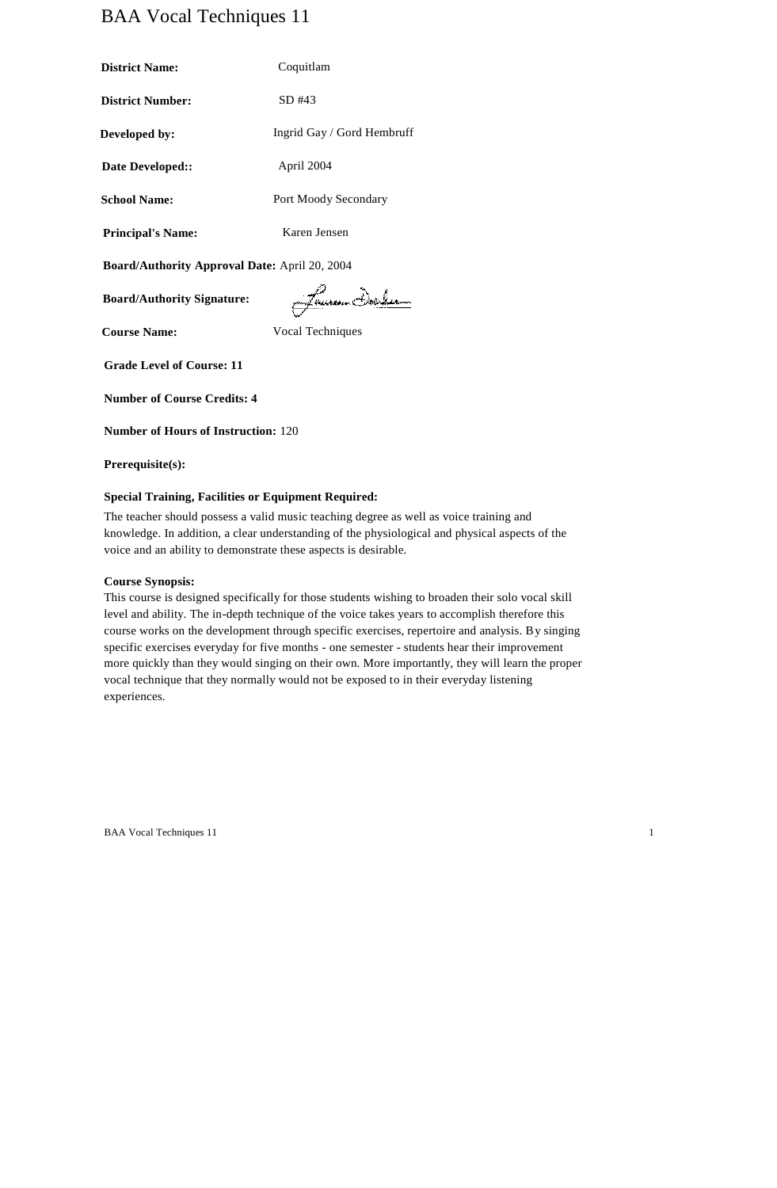# BAA Vocal Techniques 11

| <b>District Name:</b>    | Coquitlam                  |
|--------------------------|----------------------------|
| <b>District Number:</b>  | $SD$ #43                   |
| Developed by:            | Ingrid Gay / Gord Hembruff |
| Date Developed::         | April 2004                 |
| <b>School Name:</b>      | Port Moody Secondary       |
| <b>Principal's Name:</b> | Karen Jensen               |

**Board/Authority Approval Date:** April 20, 2004

**Board/Authority Signature:**

Jamm Daler

**Course Name:** Vocal Techniques

**Grade Level of Course: 11**

**Number of Course Credits: 4**

**Number of Hours of Instruction:** 120

**Prerequisite(s):**

#### **Special Training, Facilities or Equipment Required:**

The teacher should possess a valid music teaching degree as well as voice training and knowledge. In addition, a clear understanding of the physiological and physical aspects of the voice and an ability to demonstrate these aspects is desirable.

#### **Course Synopsis:**

This course is designed specifically for those students wishing to broaden their solo vocal skill level and ability. The in-depth technique of the voice takes years to accomplish therefore this course works on the development through specific exercises, repertoire and analysis. By singing specific exercises everyday for five months - one semester - students hear their improvement more quickly than they would singing on their own. More importantly, they will learn the proper vocal technique that they normally would not be exposed to in their everyday listening experiences.

BAA Vocal Techniques 11 1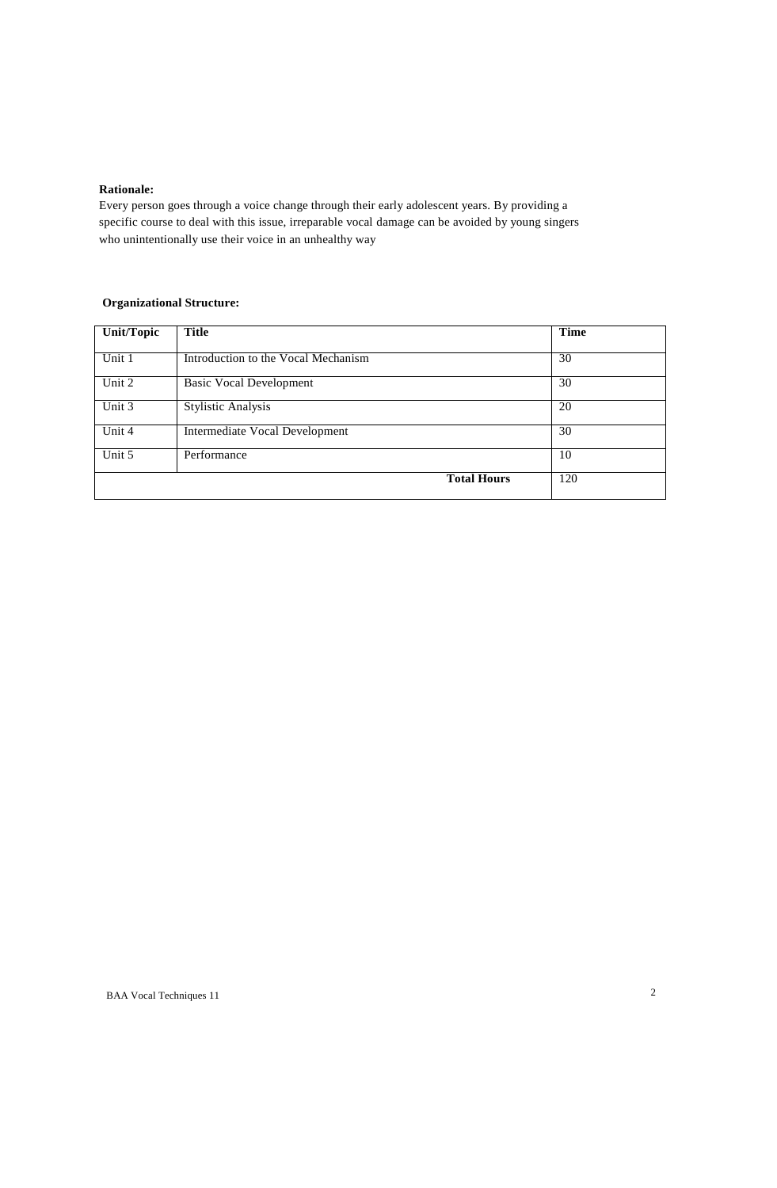#### **Rationale:**

Every person goes through a voice change through their early adolescent years. By providing a specific course to deal with this issue, irreparable vocal damage can be avoided by young singers who unintentionally use their voice in an unhealthy way

# **Organizational Structure:**

| <b>Unit/Topic</b> | Title                               | <b>Time</b> |
|-------------------|-------------------------------------|-------------|
| Unit 1            | Introduction to the Vocal Mechanism | 30          |
| Unit 2            | <b>Basic Vocal Development</b>      | 30          |
| Unit 3            | <b>Stylistic Analysis</b>           | 20          |
| Unit 4            | Intermediate Vocal Development      | 30          |
| Unit 5            | Performance                         | 10          |
|                   | <b>Total Hours</b>                  | 120         |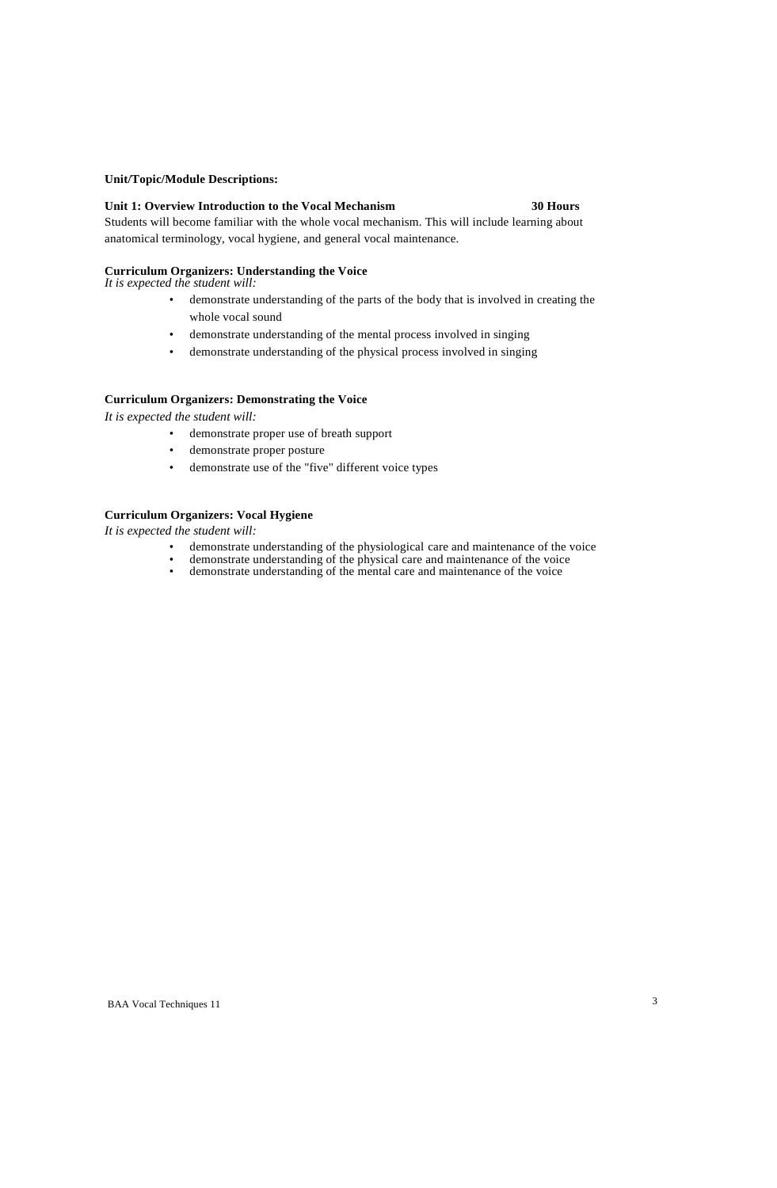#### **Unit/Topic/Module Descriptions:**

#### **Unit 1: Overview Introduction to the Vocal Mechanism 30 Hours**

Students will become familiar with the whole vocal mechanism. This will include learning about anatomical terminology, vocal hygiene, and general vocal maintenance.

# **Curriculum Organizers: Understanding the Voice**

*It is expected the student will:*

- demonstrate understanding of the parts of the body that is involved in creating the whole vocal sound
- demonstrate understanding of the mental process involved in singing
- demonstrate understanding of the physical process involved in singing

# **Curriculum Organizers: Demonstrating the Voice**

*It is expected the student will:*

- demonstrate proper use of breath support
- demonstrate proper posture
- demonstrate use of the "five" different voice types

#### **Curriculum Organizers: Vocal Hygiene**

- demonstrate understanding of the physiological care and maintenance of the voice
- demonstrate understanding of the physical care and maintenance of the voice • demonstrate understanding of the mental care and maintenance of the voice
-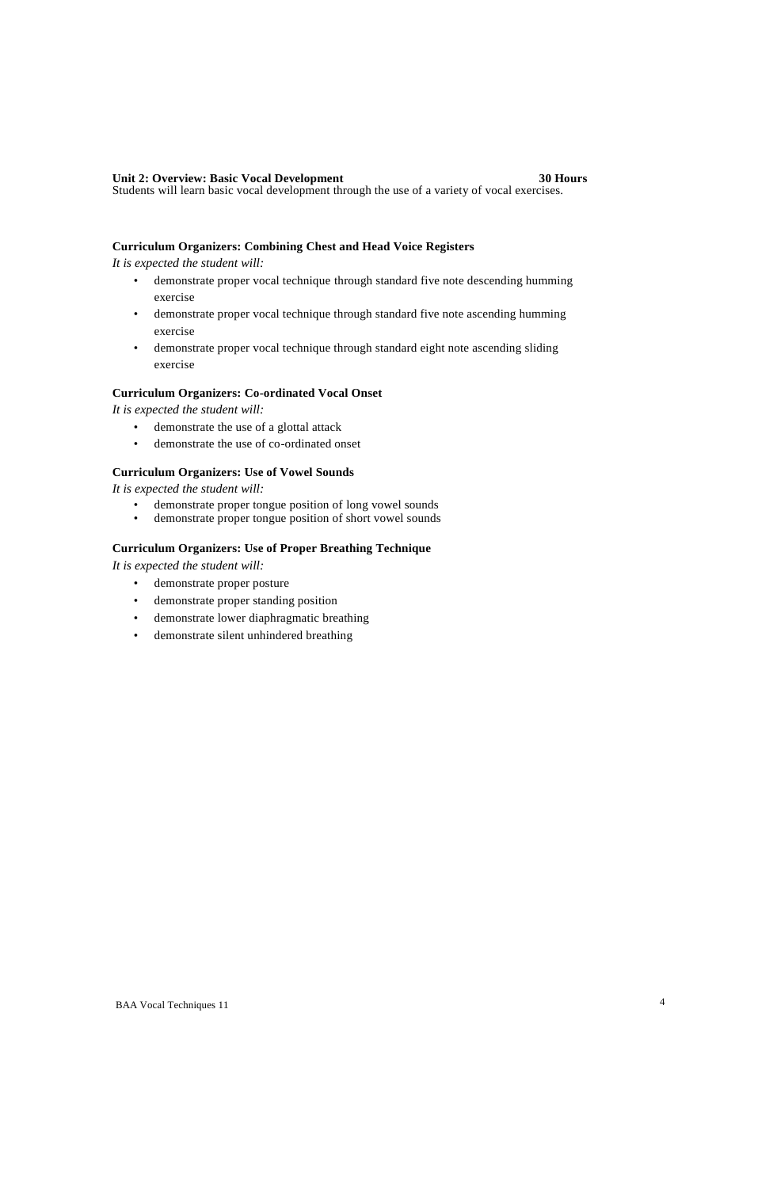#### **Unit 2: Overview: Basic Vocal Development 30 Hours**

Students will learn basic vocal development through the use of a variety of vocal exercises.

### **Curriculum Organizers: Combining Chest and Head Voice Registers**

*It is expected the student will:*

- demonstrate proper vocal technique through standard five note descending humming exercise
- demonstrate proper vocal technique through standard five note ascending humming exercise
- demonstrate proper vocal technique through standard eight note ascending sliding exercise

# **Curriculum Organizers: Co-ordinated Vocal Onset**

*It is expected the student will:*

- demonstrate the use of a glottal attack
- demonstrate the use of co-ordinated onset

# **Curriculum Organizers: Use of Vowel Sounds**

*It is expected the student will:*

- demonstrate proper tongue position of long vowel sounds
- demonstrate proper tongue position of short vowel sounds

## **Curriculum Organizers: Use of Proper Breathing Technique**

- demonstrate proper posture
- demonstrate proper standing position
- demonstrate lower diaphragmatic breathing
- demonstrate silent unhindered breathing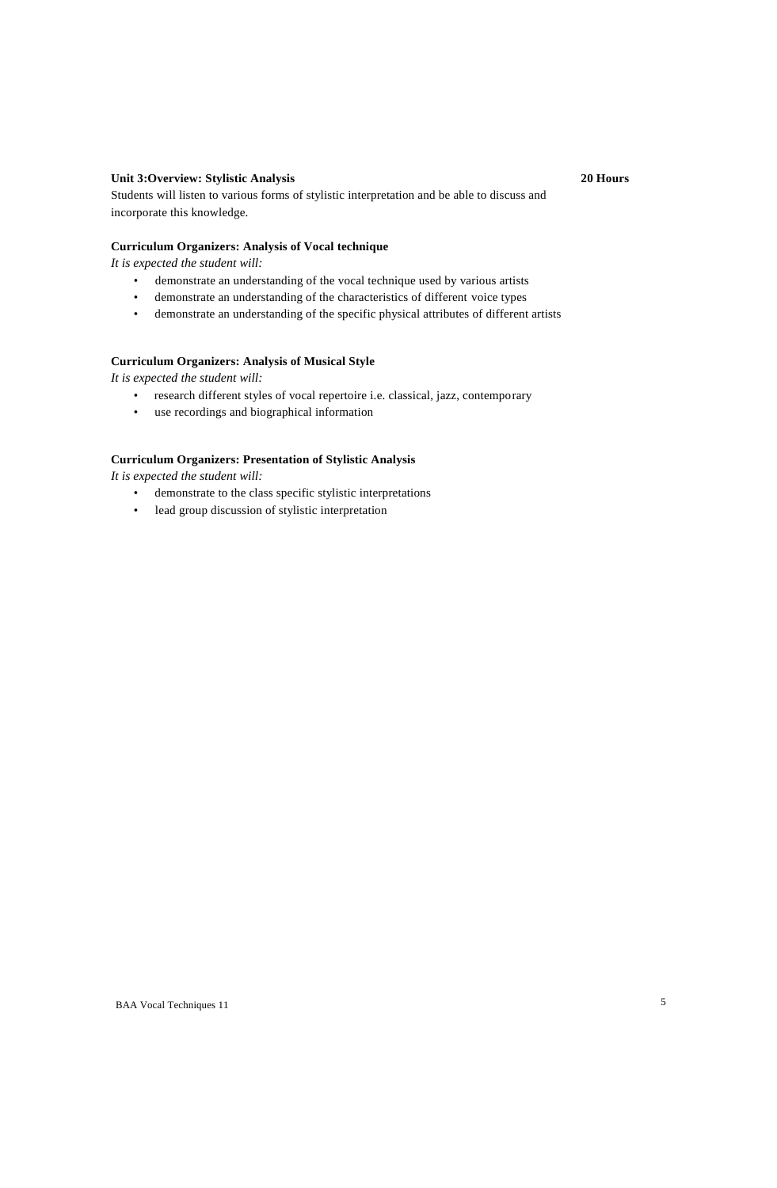# **Unit 3:Overview: Stylistic Analysis 20 Hours**

Students will listen to various forms of stylistic interpretation and be able to discuss and incorporate this knowledge.

# **Curriculum Organizers: Analysis of Vocal technique**

*It is expected the student will:*

- demonstrate an understanding of the vocal technique used by various artists
- demonstrate an understanding of the characteristics of different voice types
- demonstrate an understanding of the specific physical attributes of different artists

### **Curriculum Organizers: Analysis of Musical Style**

*It is expected the student will:*

- research different styles of vocal repertoire i.e. classical, jazz, contemporary
- use recordings and biographical information

## **Curriculum Organizers: Presentation of Stylistic Analysis**

- demonstrate to the class specific stylistic interpretations
- lead group discussion of stylistic interpretation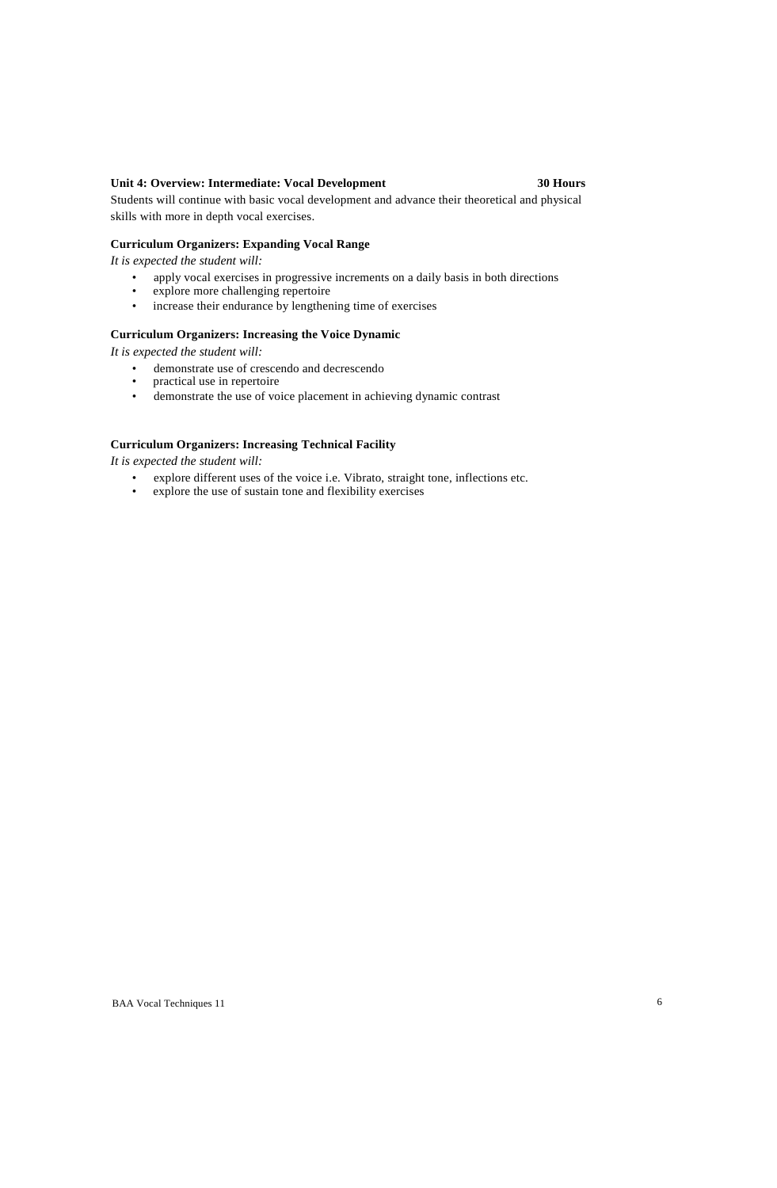### **Unit 4: Overview: Intermediate: Vocal Development 30 Hours**

Students will continue with basic vocal development and advance their theoretical and physical skills with more in depth vocal exercises.

### **Curriculum Organizers: Expanding Vocal Range**

*It is expected the student will:*

- apply vocal exercises in progressive increments on a daily basis in both directions<br>• explore more challenging repertoire
- explore more challenging repertoire
- increase their endurance by lengthening time of exercises

#### **Curriculum Organizers: Increasing the Voice Dynamic**

*It is expected the student will:*

- demonstrate use of crescendo and decrescendo<br>• practical use in repertoire
- practical use in repertoire
- demonstrate the use of voice placement in achieving dynamic contrast

# **Curriculum Organizers: Increasing Technical Facility**

- explore different uses of the voice i.e. Vibrato, straight tone, inflections etc.<br>• explore the use of sustain tone and flexibility exercises
- explore the use of sustain tone and flexibility exercises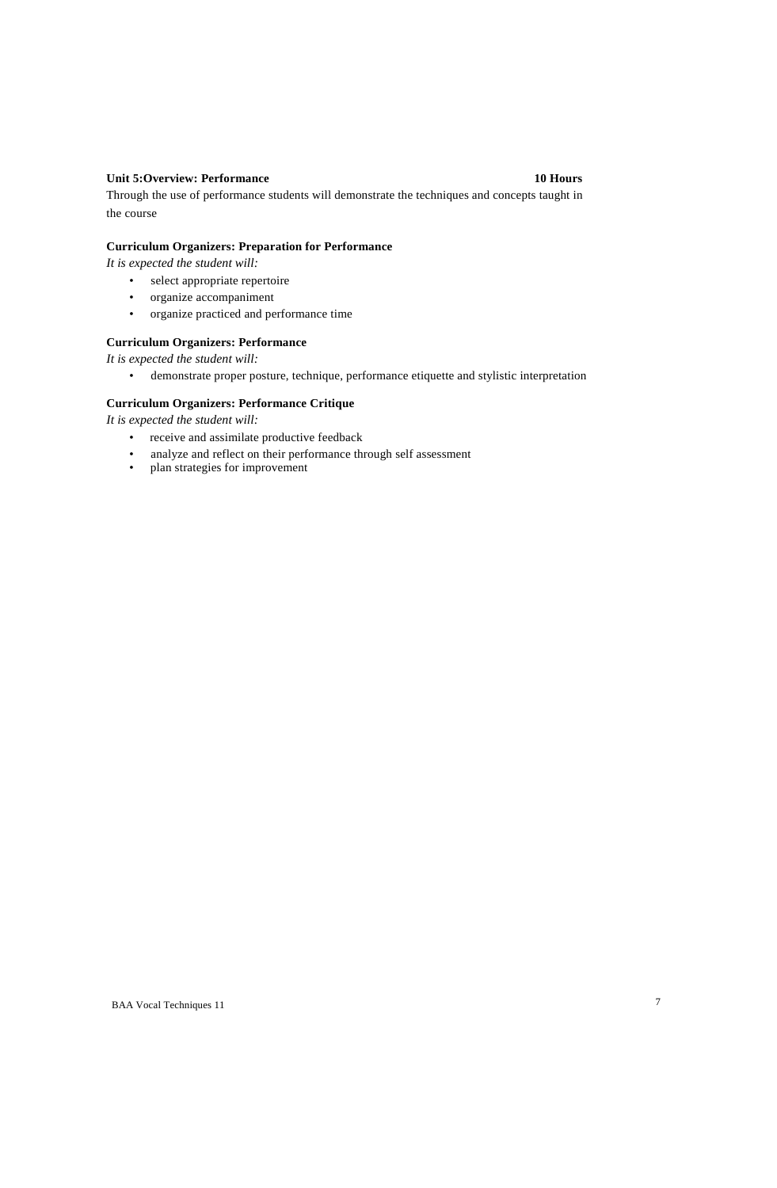## **Unit 5:Overview: Performance 10 Hours**

Through the use of performance students will demonstrate the techniques and concepts taught in the course

# **Curriculum Organizers: Preparation for Performance**

*It is expected the student will:*

- select appropriate repertoire
- organize accompaniment
- organize practiced and performance time

# **Curriculum Organizers: Performance**

*It is expected the student will:*

• demonstrate proper posture, technique, performance etiquette and stylistic interpretation

#### **Curriculum Organizers: Performance Critique**

- receive and assimilate productive feedback
- analyze and reflect on their performance through self assessment<br>• plan strategies for improvement
- plan strategies for improvement